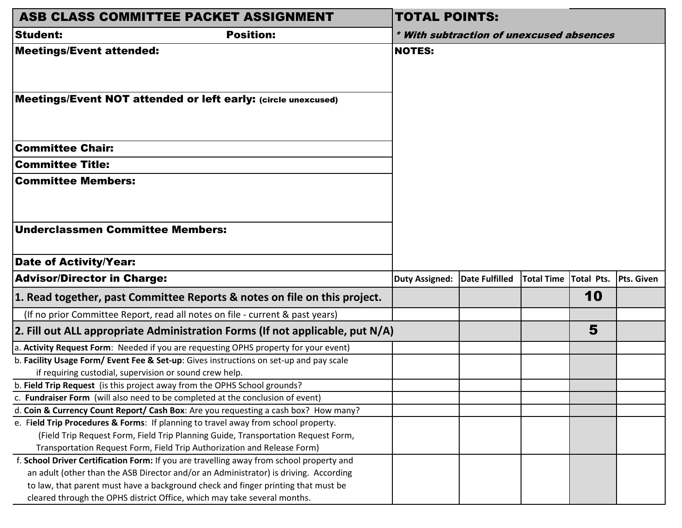| ASB CLASS COMMITTEE PACKET ASSIGNMENT                                                    | <b>TOTAL POINTS:</b>                     |                |                   |            |            |  |  |
|------------------------------------------------------------------------------------------|------------------------------------------|----------------|-------------------|------------|------------|--|--|
| <b>Student:</b><br><b>Position:</b>                                                      | * With subtraction of unexcused absences |                |                   |            |            |  |  |
| <b>Meetings/Event attended:</b>                                                          | <b>NOTES:</b>                            |                |                   |            |            |  |  |
| Meetings/Event NOT attended or left early: (circle unexcused)                            |                                          |                |                   |            |            |  |  |
| <b>Committee Chair:</b>                                                                  |                                          |                |                   |            |            |  |  |
| <b>Committee Title:</b>                                                                  |                                          |                |                   |            |            |  |  |
| <b>Committee Members:</b>                                                                |                                          |                |                   |            |            |  |  |
| <b>Underclassmen Committee Members:</b>                                                  |                                          |                |                   |            |            |  |  |
| <b>Date of Activity/Year:</b>                                                            |                                          |                |                   |            |            |  |  |
| <b>Advisor/Director in Charge:</b>                                                       | <b>Duty Assigned:</b>                    | Date Fulfilled | <b>Total Time</b> | Total Pts. | Pts. Given |  |  |
| 1. Read together, past Committee Reports & notes on file on this project.                |                                          |                |                   | 10         |            |  |  |
| (If no prior Committee Report, read all notes on file - current & past years)            |                                          |                |                   |            |            |  |  |
| 2. Fill out ALL appropriate Administration Forms (If not applicable, put N/A)            |                                          |                |                   | 5          |            |  |  |
| a. Activity Request Form: Needed if you are requesting OPHS property for your event)     |                                          |                |                   |            |            |  |  |
| b. Facility Usage Form/Event Fee & Set-up: Gives instructions on set-up and pay scale    |                                          |                |                   |            |            |  |  |
| if requiring custodial, supervision or sound crew help.                                  |                                          |                |                   |            |            |  |  |
| b. Field Trip Request (is this project away from the OPHS School grounds?                |                                          |                |                   |            |            |  |  |
| c. Fundraiser Form (will also need to be completed at the conclusion of event)           |                                          |                |                   |            |            |  |  |
| d. Coin & Currency Count Report/ Cash Box: Are you requesting a cash box? How many?      |                                          |                |                   |            |            |  |  |
| e. Field Trip Procedures & Forms: If planning to travel away from school property.       |                                          |                |                   |            |            |  |  |
| (Field Trip Request Form, Field Trip Planning Guide, Transportation Request Form,        |                                          |                |                   |            |            |  |  |
| Transportation Request Form, Field Trip Authorization and Release Form)                  |                                          |                |                   |            |            |  |  |
| f. School Driver Certification Form: If you are travelling away from school property and |                                          |                |                   |            |            |  |  |
| an adult (other than the ASB Director and/or an Administrator) is driving. According     |                                          |                |                   |            |            |  |  |
| to law, that parent must have a background check and finger printing that must be        |                                          |                |                   |            |            |  |  |
| cleared through the OPHS district Office, which may take several months.                 |                                          |                |                   |            |            |  |  |